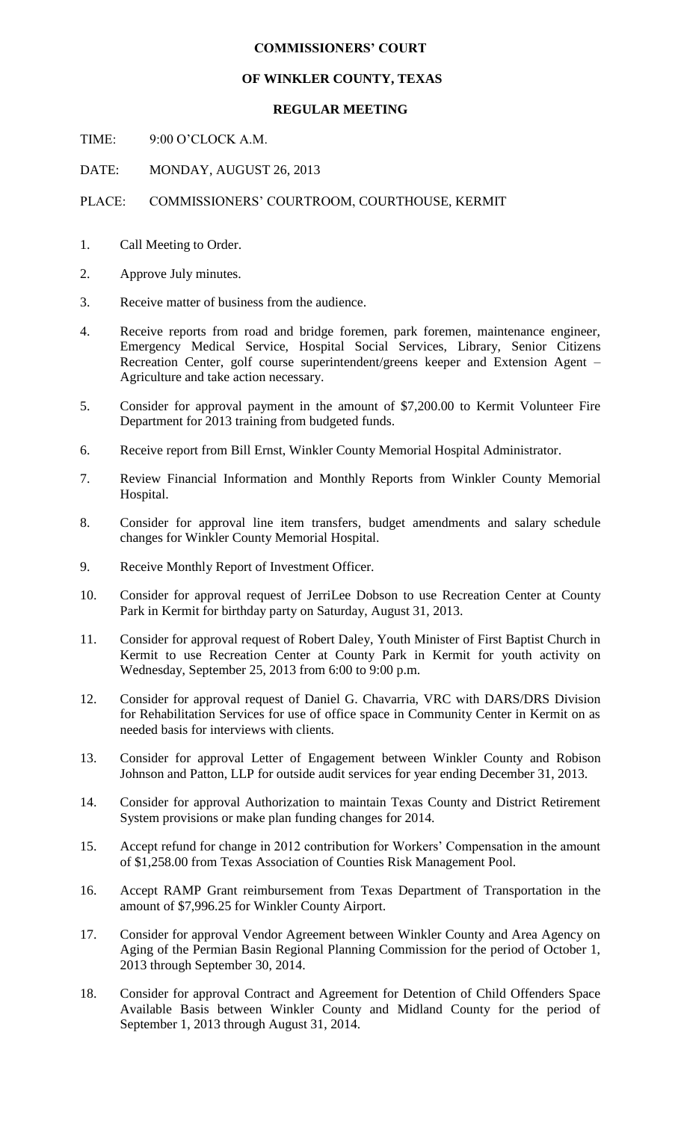## **COMMISSIONERS' COURT**

## **OF WINKLER COUNTY, TEXAS**

## **REGULAR MEETING**

TIME: 9:00 O'CLOCK A.M.

DATE: MONDAY, AUGUST 26, 2013

## PLACE: COMMISSIONERS' COURTROOM, COURTHOUSE, KERMIT

- 1. Call Meeting to Order.
- 2. Approve July minutes.
- 3. Receive matter of business from the audience.
- 4. Receive reports from road and bridge foremen, park foremen, maintenance engineer, Emergency Medical Service, Hospital Social Services, Library, Senior Citizens Recreation Center, golf course superintendent/greens keeper and Extension Agent – Agriculture and take action necessary.
- 5. Consider for approval payment in the amount of \$7,200.00 to Kermit Volunteer Fire Department for 2013 training from budgeted funds.
- 6. Receive report from Bill Ernst, Winkler County Memorial Hospital Administrator.
- 7. Review Financial Information and Monthly Reports from Winkler County Memorial Hospital.
- 8. Consider for approval line item transfers, budget amendments and salary schedule changes for Winkler County Memorial Hospital.
- 9. Receive Monthly Report of Investment Officer.
- 10. Consider for approval request of JerriLee Dobson to use Recreation Center at County Park in Kermit for birthday party on Saturday, August 31, 2013.
- 11. Consider for approval request of Robert Daley, Youth Minister of First Baptist Church in Kermit to use Recreation Center at County Park in Kermit for youth activity on Wednesday, September 25, 2013 from 6:00 to 9:00 p.m.
- 12. Consider for approval request of Daniel G. Chavarria, VRC with DARS/DRS Division for Rehabilitation Services for use of office space in Community Center in Kermit on as needed basis for interviews with clients.
- 13. Consider for approval Letter of Engagement between Winkler County and Robison Johnson and Patton, LLP for outside audit services for year ending December 31, 2013.
- 14. Consider for approval Authorization to maintain Texas County and District Retirement System provisions or make plan funding changes for 2014.
- 15. Accept refund for change in 2012 contribution for Workers' Compensation in the amount of \$1,258.00 from Texas Association of Counties Risk Management Pool.
- 16. Accept RAMP Grant reimbursement from Texas Department of Transportation in the amount of \$7,996.25 for Winkler County Airport.
- 17. Consider for approval Vendor Agreement between Winkler County and Area Agency on Aging of the Permian Basin Regional Planning Commission for the period of October 1, 2013 through September 30, 2014.
- 18. Consider for approval Contract and Agreement for Detention of Child Offenders Space Available Basis between Winkler County and Midland County for the period of September 1, 2013 through August 31, 2014.